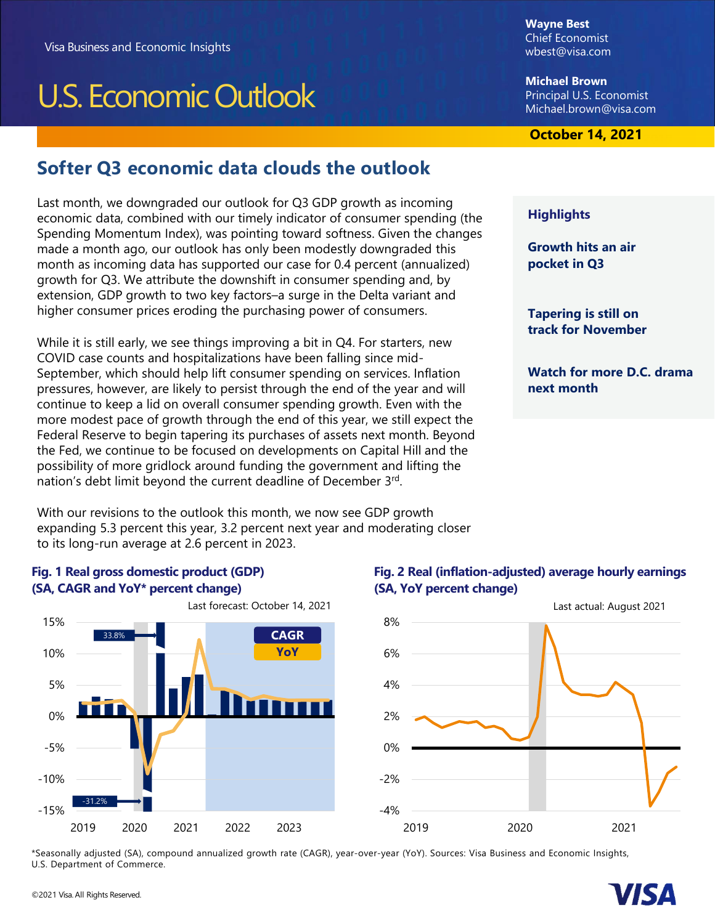# U.S. Economic Outlook

**Wayne Best**  Chief Economist [wbest@visa.com](mailto:wbest@visa.com) 

**Michael Brown**  Principal U.S. Economist [Michael.brown@visa.com](mailto:Michael.brown@visa.com) 

### **October 2019 October 14, 2021**

# **Softer Q3 economic data clouds the outlook**

Last month, we downgraded our outlook for Q3 GDP growth as incoming economic data, combined with our timely indicator of consumer spending (the Spending Momentum Index), was pointing toward softness. Given the changes made a month ago, our outlook has only been modestly downgraded this month as incoming data has supported our case for 0.4 percent (annualized) growth for Q3. We attribute the downshift in consumer spending and, by extension, GDP growth to two key factors–a surge in the Delta variant and higher consumer prices eroding the purchasing power of consumers.

While it is still early, we see things improving a bit in Q4. For starters, new COVID case counts and hospitalizations have been falling since mid-September, which should help lift consumer spending on services. Inflation pressures, however, are likely to persist through the end of the year and will continue to keep a lid on overall consumer spending growth. Even with the more modest pace of growth through the end of this year, we still expect the Federal Reserve to begin tapering its purchases of assets next month. Beyond the Fed, we continue to be focused on developments on Capital Hill and the possibility of more gridlock around funding the government and lifting the nation's debt limit beyond the current deadline of December 3rd.

With our revisions to the outlook this month, we now see GDP growth expanding 5.3 percent this year, 3.2 percent next year and moderating closer to its long-run average at 2.6 percent in 2023.

#### **Fig. 1 Real gross domestic product (GDP) (SA, CAGR and YoY\* percent change)**



### Last forecast: October 14, 2021

# -4% -2% 0% 2% 4% 6% 8% 2019 2020 2021 Last actual: August 2021

**Fig. 2 Real (inflation-adjusted) average hourly earnings**

**(SA, YoY percent change)** 

\*Seasonally adjusted (SA), compound annualized growth rate (CAGR), year-over-year (YoY). Sources: Visa Business and Economic Insights, U.S. Department of Commerce.



#### **Highlights**

**Growth hits an air pocket in Q3** 

**Tapering is still on track for November** 

**Watch for more D.C. drama next month** 

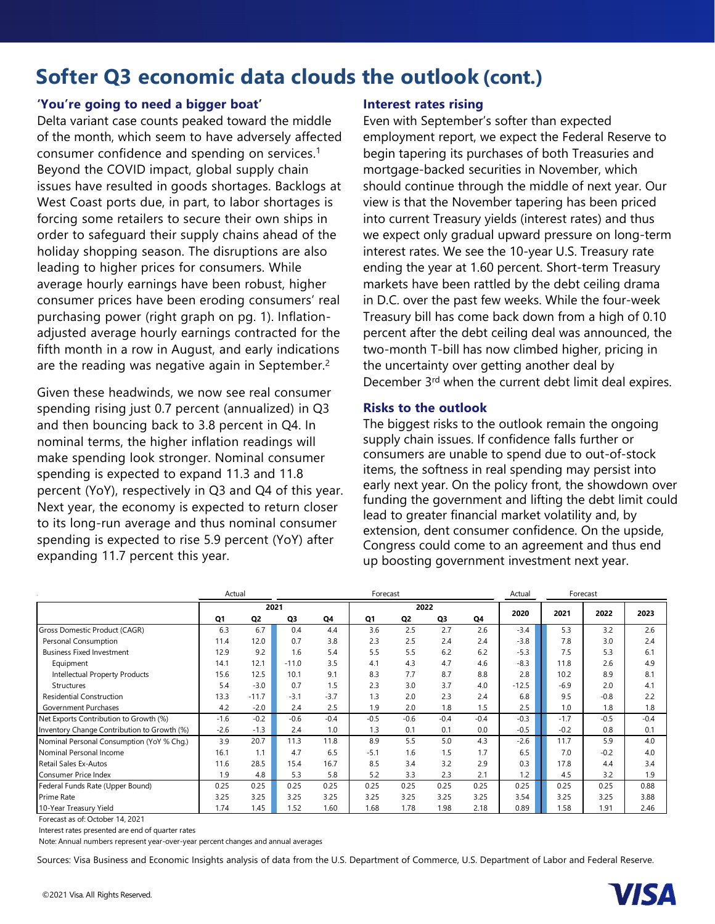# **Softer Q3 economic data clouds the outlook (cont.)**

#### **'You're going to need a bigger boat'**

Delta variant case counts peaked toward the middle of the month, which seem to have adversely affected consumer confidence and spending on services.1 Beyond the COVID impact, global supply chain issues have resulted in goods shortages. Backlogs at West Coast ports due, in part, to labor shortages is forcing some retailers to secure their own ships in order to safeguard their supply chains ahead of the holiday shopping season. The disruptions are also leading to higher prices for consumers. While average hourly earnings have been robust, higher consumer prices have been eroding consumers' real purchasing power (right graph on pg. 1). Inflationadjusted average hourly earnings contracted for the fifth month in a row in August, and early indications are the reading was negative again in September.<sup>2</sup>

Given these headwinds, we now see real consumer spending rising just 0.7 percent (annualized) in Q3 and then bouncing back to 3.8 percent in Q4. In nominal terms, the higher inflation readings will make spending look stronger. Nominal consumer spending is expected to expand 11.3 and 11.8 percent (YoY), respectively in Q3 and Q4 of this year. Next year, the economy is expected to return closer to its long-run average and thus nominal consumer spending is expected to rise 5.9 percent (YoY) after expanding 11.7 percent this year.

#### **Interest rates rising**

Even with September's softer than expected employment report, we expect the Federal Reserve to begin tapering its purchases of both Treasuries and mortgage-backed securities in November, which should continue through the middle of next year. Our view is that the November tapering has been priced into current Treasury yields (interest rates) and thus we expect only gradual upward pressure on long-term interest rates. We see the 10-year U.S. Treasury rate ending the year at 1.60 percent. Short-term Treasury markets have been rattled by the debt ceiling drama in D.C. over the past few weeks. While the four-week Treasury bill has come back down from a high of 0.10 percent after the debt ceiling deal was announced, the two-month T-bill has now climbed higher, pricing in the uncertainty over getting another deal by December 3rd when the current debt limit deal expires.

#### **Risks to the outlook**

The biggest risks to the outlook remain the ongoing supply chain issues. If confidence falls further or consumers are unable to spend due to out-of-stock items, the softness in real spending may persist into early next year. On the policy front, the showdown over funding the government and lifting the debt limit could lead to greater financial market volatility and, by extension, dent consumer confidence. On the upside, Congress could come to an agreement and thus end up boosting government investment next year.

|                                             | Actual |                | Forecast |        |        |                |        |        | Actual  | Forecast |        |        |
|---------------------------------------------|--------|----------------|----------|--------|--------|----------------|--------|--------|---------|----------|--------|--------|
|                                             | 2021   |                |          |        | 2022   |                |        |        |         |          |        | 2023   |
|                                             | Q1     | Q <sub>2</sub> | Q3       | Q4     | Q1     | Q <sub>2</sub> | Q3     | Q4     | 2020    | 2021     | 2022   |        |
| Gross Domestic Product (CAGR)               | 6.3    | 6.7            | 0.4      | 4.4    | 3.6    | 2.5            | 2.7    | 2.6    | $-3.4$  | 5.3      | 3.2    | 2.6    |
| Personal Consumption                        | 11.4   | 12.0           | 0.7      | 3.8    | 2.3    | 2.5            | 2.4    | 2.4    | $-3.8$  | 7.8      | 3.0    | 2.4    |
| <b>Business Fixed Investment</b>            | 12.9   | 9.2            | 1.6      | 5.4    | 5.5    | 5.5            | 6.2    | 6.2    | $-5.3$  | 7.5      | 5.3    | 6.1    |
| Equipment                                   | 14.1   | 12.1           | $-11.0$  | 3.5    | 4.1    | 4.3            | 4.7    | 4.6    | $-8.3$  | 11.8     | 2.6    | 4.9    |
| Intellectual Property Products              | 15.6   | 12.5           | 10.1     | 9.1    | 8.3    | 7.7            | 8.7    | 8.8    | 2.8     | 10.2     | 8.9    | 8.1    |
| <b>Structures</b>                           | 5.4    | $-3.0$         | 0.7      | 1.5    | 2.3    | 3.0            | 3.7    | 4.0    | $-12.5$ | $-6.9$   | 2.0    | 4.1    |
| <b>Residential Construction</b>             | 13.3   | $-11.7$        | $-3.1$   | $-3.7$ | 1.3    | 2.0            | 2.3    | 2.4    | 6.8     | 9.5      | $-0.8$ | 2.2    |
| Government Purchases                        | 4.2    | $-2.0$         | 2.4      | 2.5    | 1.9    | 2.0            | 1.8    | 1.5    | 2.5     | 1.0      | 1.8    | 1.8    |
| Net Exports Contribution to Growth (%)      | $-1.6$ | $-0.2$         | $-0.6$   | $-0.4$ | $-0.5$ | $-0.6$         | $-0.4$ | $-0.4$ | $-0.3$  | $-1.7$   | $-0.5$ | $-0.4$ |
| Inventory Change Contribution to Growth (%) | $-2.6$ | $-1.3$         | 2.4      | 1.0    | 1.3    | 0.1            | 0.1    | 0.0    | $-0.5$  | $-0.2$   | 0.8    | 0.1    |
| Nominal Personal Consumption (YoY % Chg.)   | 3.9    | 20.7           | 11.3     | 11.8   | 8.9    | 5.5            | 5.0    | 4.3    | $-2.6$  | 11.7     | 5.9    | 4.0    |
| Nominal Personal Income                     | 16.1   | 1.1            | 4.7      | 6.5    | $-5.1$ | 1.6            | 1.5    | 1.7    | 6.5     | 7.0      | $-0.2$ | 4.0    |
| Retail Sales Ex-Autos                       | 11.6   | 28.5           | 15.4     | 16.7   | 8.5    | 3.4            | 3.2    | 2.9    | 0.3     | 17.8     | 4.4    | 3.4    |
| Consumer Price Index                        | 1.9    | 4.8            | 5.3      | 5.8    | 5.2    | 3.3            | 2.3    | 2.1    | 1.2     | 4.5      | 3.2    | 1.9    |
| Federal Funds Rate (Upper Bound)            | 0.25   | 0.25           | 0.25     | 0.25   | 0.25   | 0.25           | 0.25   | 0.25   | 0.25    | 0.25     | 0.25   | 0.88   |
| Prime Rate                                  | 3.25   | 3.25           | 3.25     | 3.25   | 3.25   | 3.25           | 3.25   | 3.25   | 3.54    | 3.25     | 3.25   | 3.88   |
| 10-Year Treasury Yield                      | 1.74   | 1.45           | 1.52     | 1.60   | 1.68   | 1.78           | 1.98   | 2.18   | 0.89    | 1.58     | 1.91   | 2.46   |

Forecast as of: October 14, 2021

Interest rates presented are end of quarter rates

Note: Annual numbers represent year-over-year percent changes and annual averages

Sources: Visa Business and Economic Insights analysis of data from the U.S. Department of Commerce, U.S. Department of Labor and Federal Reserve.

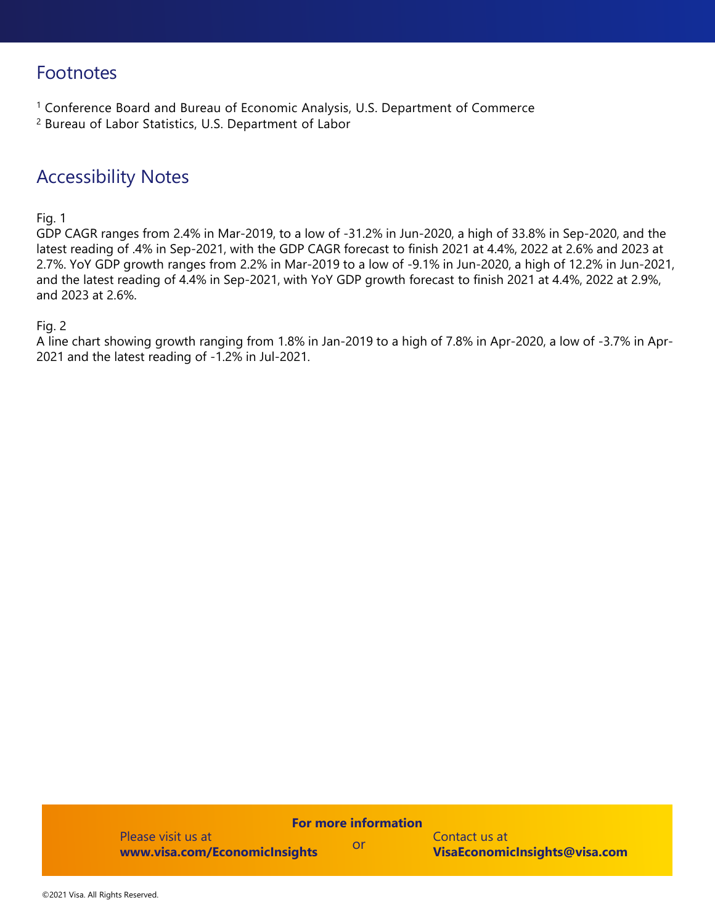# Footnotes

- <sup>1</sup> Conference Board and Bureau of Economic Analysis, U.S. Department of Commerce
- 2 Bureau of Labor Statistics, U.S. Department of Labor

## Accessibility Notes

#### Fig. 1

GDP CAGR ranges from 2.4% in Mar-2019, to a low of -31.2% in Jun-2020, a high of 33.8% in Sep-2020, and the latest reading of .4% in Sep-2021, with the GDP CAGR forecast to finish 2021 at 4.4%, 2022 at 2.6% and 2023 at 2.7%. YoY GDP growth ranges from 2.2% in Mar-2019 to a low of -9.1% in Jun-2020, a high of 12.2% in Jun-2021, and the latest reading of 4.4% in Sep-2021, with YoY GDP growth forecast to finish 2021 at 4.4%, 2022 at 2.9%, and 2023 at 2.6%.

#### Fig. 2

A line chart showing growth ranging from 1.8% in Jan-2019 to a high of 7.8% in Apr-2020, a low of -3.7% in Apr-2021 and the latest reading of -1.2% in Jul-2021.

#### **For more information**

Please visit us at **www.visa.com/EconomicInsights**

Contact us at **VisaEconomicInsights@visa.com**